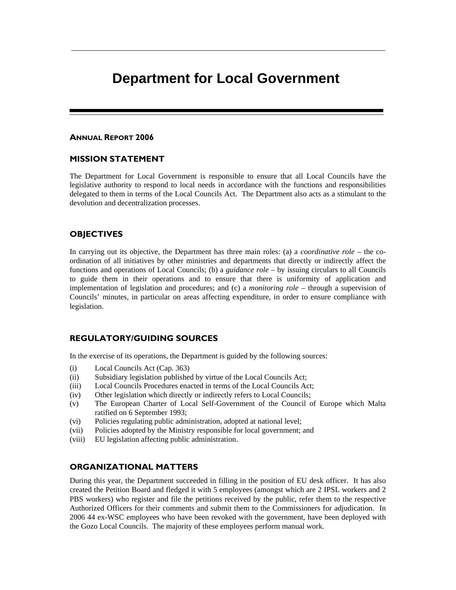# **Department for Local Government**

#### ANNUAL REPORT 2006

## MISSION STATEMENT

The Department for Local Government is responsible to ensure that all Local Councils have the legislative authority to respond to local needs in accordance with the functions and responsibilities delegated to them in terms of the Local Councils Act. The Department also acts as a stimulant to the devolution and decentralization processes.

## **OBJECTIVES**

In carrying out its objective, the Department has three main roles: (a) a *coordinative role* – the coordination of all initiatives by other ministries and departments that directly or indirectly affect the functions and operations of Local Councils; (b) a *guidance role* – by issuing circulars to all Councils to guide them in their operations and to ensure that there is uniformity of application and implementation of legislation and procedures; and (c) a *monitoring role* – through a supervision of Councils' minutes, in particular on areas affecting expenditure, in order to ensure compliance with legislation.

#### REGULATORY/GUIDING SOURCES

In the exercise of its operations, the Department is guided by the following sources:

- (i) Local Councils Act (Cap. 363)
- (ii) Subsidiary legislation published by virtue of the Local Councils Act;
- (iii) Local Councils Procedures enacted in terms of the Local Councils Act;
- (iv) Other legislation which directly or indirectly refers to Local Councils;
- (v) The European Charter of Local Self-Government of the Council of Europe which Malta ratified on 6 September 1993;
- (vi) Policies regulating public administration, adopted at national level;
- (vii) Policies adopted by the Ministry responsible for local government; and
- (viii) EU legislation affecting public administration.

## ORGANIZATIONAL MATTERS

During this year, the Department succeeded in filling in the position of EU desk officer. It has also created the Petition Board and fledged it with 5 employees (amongst which are 2 IPSL workers and 2 PBS workers) who register and file the petitions received by the public, refer them to the respective Authorized Officers for their comments and submit them to the Commissioners for adjudication. In 2006 44 ex-WSC employees who have been revoked with the government, have been deployed with the Gozo Local Councils. The majority of these employees perform manual work.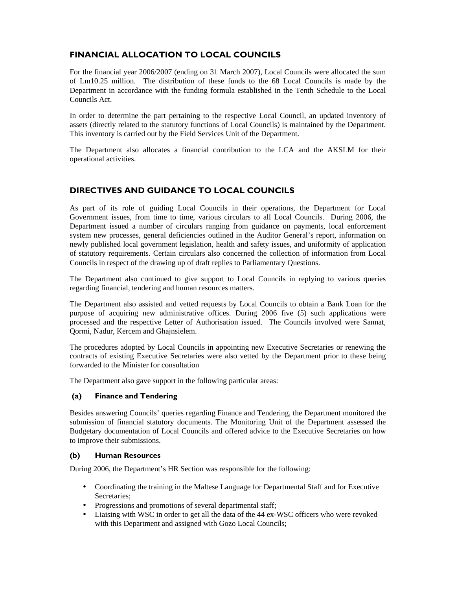# FINANCIAL ALLOCATION TO LOCAL COUNCILS

For the financial year 2006/2007 (ending on 31 March 2007), Local Councils were allocated the sum of Lm10.25 million. The distribution of these funds to the 68 Local Councils is made by the Department in accordance with the funding formula established in the Tenth Schedule to the Local Councils Act.

In order to determine the part pertaining to the respective Local Council, an updated inventory of assets (directly related to the statutory functions of Local Councils) is maintained by the Department. This inventory is carried out by the Field Services Unit of the Department.

The Department also allocates a financial contribution to the LCA and the AKSLM for their operational activities.

# DIRECTIVES AND GUIDANCE TO LOCAL COUNCILS

As part of its role of guiding Local Councils in their operations, the Department for Local Government issues, from time to time, various circulars to all Local Councils. During 2006, the Department issued a number of circulars ranging from guidance on payments, local enforcement system new processes, general deficiencies outlined in the Auditor General's report, information on newly published local government legislation, health and safety issues, and uniformity of application of statutory requirements. Certain circulars also concerned the collection of information from Local Councils in respect of the drawing up of draft replies to Parliamentary Questions.

The Department also continued to give support to Local Councils in replying to various queries regarding financial, tendering and human resources matters.

The Department also assisted and vetted requests by Local Councils to obtain a Bank Loan for the purpose of acquiring new administrative offices. During 2006 five (5) such applications were processed and the respective Letter of Authorisation issued. The Councils involved were Sannat, Qormi, Nadur, Kercem and Ghajnsielem.

The procedures adopted by Local Councils in appointing new Executive Secretaries or renewing the contracts of existing Executive Secretaries were also vetted by the Department prior to these being forwarded to the Minister for consultation

The Department also gave support in the following particular areas:

## (a) Finance and Tendering

Besides answering Councils' queries regarding Finance and Tendering, the Department monitored the submission of financial statutory documents. The Monitoring Unit of the Department assessed the Budgetary documentation of Local Councils and offered advice to the Executive Secretaries on how to improve their submissions.

#### (b) Human Resources

During 2006, the Department's HR Section was responsible for the following:

- Coordinating the training in the Maltese Language for Departmental Staff and for Executive Secretaries;
- Progressions and promotions of several departmental staff;
- Liaising with WSC in order to get all the data of the 44 ex-WSC officers who were revoked with this Department and assigned with Gozo Local Councils;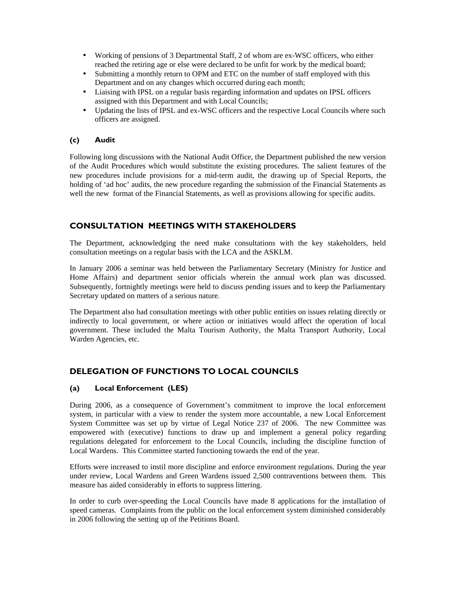- Working of pensions of 3 Departmental Staff, 2 of whom are ex-WSC officers, who either reached the retiring age or else were declared to be unfit for work by the medical board;
- Submitting a monthly return to OPM and ETC on the number of staff employed with this Department and on any changes which occurred during each month;
- Liaising with IPSL on a regular basis regarding information and updates on IPSL officers assigned with this Department and with Local Councils;
- Updating the lists of IPSL and ex-WSC officers and the respective Local Councils where such officers are assigned.

## (c) Audit

Following long discussions with the National Audit Office, the Department published the new version of the Audit Procedures which would substitute the existing procedures. The salient features of the new procedures include provisions for a mid-term audit, the drawing up of Special Reports, the holding of 'ad hoc' audits, the new procedure regarding the submission of the Financial Statements as well the new format of the Financial Statements, as well as provisions allowing for specific audits.

# CONSULTATION MEETINGS WITH STAKEHOLDERS

The Department, acknowledging the need make consultations with the key stakeholders, held consultation meetings on a regular basis with the LCA and the ASKLM.

In January 2006 a seminar was held between the Parliamentary Secretary (Ministry for Justice and Home Affairs) and department senior officials wherein the annual work plan was discussed. Subsequently, fortnightly meetings were held to discuss pending issues and to keep the Parliamentary Secretary updated on matters of a serious nature.

The Department also had consultation meetings with other public entities on issues relating directly or indirectly to local government, or where action or initiatives would affect the operation of local government. These included the Malta Tourism Authority, the Malta Transport Authority, Local Warden Agencies, etc.

## DELEGATION OF FUNCTIONS TO LOCAL COUNCILS

#### (a) Local Enforcement (LES)

During 2006, as a consequence of Government's commitment to improve the local enforcement system, in particular with a view to render the system more accountable, a new Local Enforcement System Committee was set up by virtue of Legal Notice 237 of 2006. The new Committee was empowered with (executive) functions to draw up and implement a general policy regarding regulations delegated for enforcement to the Local Councils, including the discipline function of Local Wardens. This Committee started functioning towards the end of the year.

Efforts were increased to instil more discipline and enforce environment regulations. During the year under review, Local Wardens and Green Wardens issued 2,500 contraventions between them. This measure has aided considerably in efforts to suppress littering.

In order to curb over-speeding the Local Councils have made 8 applications for the installation of speed cameras. Complaints from the public on the local enforcement system diminished considerably in 2006 following the setting up of the Petitions Board.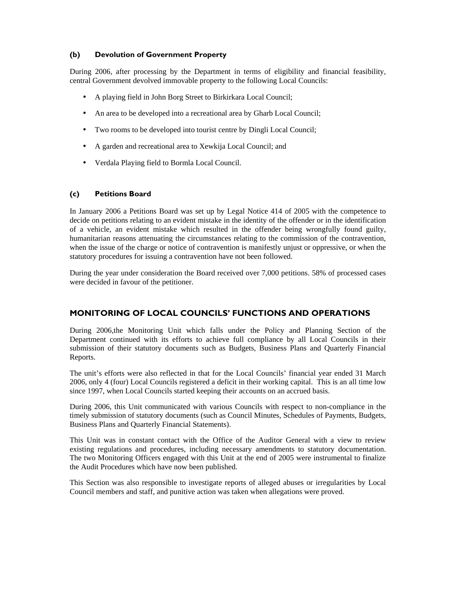## (b) Devolution of Government Property

During 2006, after processing by the Department in terms of eligibility and financial feasibility, central Government devolved immovable property to the following Local Councils:

- A playing field in John Borg Street to Birkirkara Local Council;
- An area to be developed into a recreational area by Gharb Local Council;
- Two rooms to be developed into tourist centre by Dingli Local Council;
- A garden and recreational area to Xewkija Local Council; and
- Verdala Playing field to Bormla Local Council.

## (c) Petitions Board

In January 2006 a Petitions Board was set up by Legal Notice 414 of 2005 with the competence to decide on petitions relating to an evident mistake in the identity of the offender or in the identification of a vehicle, an evident mistake which resulted in the offender being wrongfully found guilty, humanitarian reasons attenuating the circumstances relating to the commission of the contravention, when the issue of the charge or notice of contravention is manifestly unjust or oppressive, or when the statutory procedures for issuing a contravention have not been followed.

During the year under consideration the Board received over 7,000 petitions. 58% of processed cases were decided in favour of the petitioner.

# MONITORING OF LOCAL COUNCILS' FUNCTIONS AND OPERATIONS

During 2006,the Monitoring Unit which falls under the Policy and Planning Section of the Department continued with its efforts to achieve full compliance by all Local Councils in their submission of their statutory documents such as Budgets, Business Plans and Quarterly Financial Reports.

The unit's efforts were also reflected in that for the Local Councils' financial year ended 31 March 2006, only 4 (four) Local Councils registered a deficit in their working capital. This is an all time low since 1997, when Local Councils started keeping their accounts on an accrued basis.

During 2006, this Unit communicated with various Councils with respect to non-compliance in the timely submission of statutory documents (such as Council Minutes, Schedules of Payments, Budgets, Business Plans and Quarterly Financial Statements).

This Unit was in constant contact with the Office of the Auditor General with a view to review existing regulations and procedures, including necessary amendments to statutory documentation. The two Monitoring Officers engaged with this Unit at the end of 2005 were instrumental to finalize the Audit Procedures which have now been published.

This Section was also responsible to investigate reports of alleged abuses or irregularities by Local Council members and staff, and punitive action was taken when allegations were proved.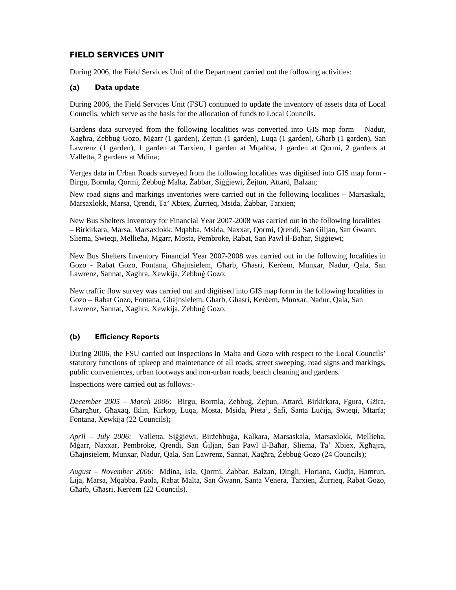# FIELD SERVICES UNIT

During 2006, the Field Services Unit of the Department carried out the following activities:

## (a) Data update

During 2006, the Field Services Unit (FSU) continued to update the inventory of assets data of Local Councils, which serve as the basis for the allocation of funds to Local Councils.

Gardens data surveyed from the following localities was converted into GIS map form – Nadur, Xagħra, Żebbuġ Gozo, Mġarr (1 garden), Żejtun (1 garden), Luqa (1 garden), Għarb (1 garden), San Lawrenz (1 garden), 1 garden at Tarxien, 1 garden at Mqabba, 1 garden at Qormi, 2 gardens at Valletta, 2 gardens at Mdina;

Verges data in Urban Roads surveyed from the following localities was digitised into GIS map form - Birgu, Bormla, Qormi, Żebbuġ Malta, Żabbar, Siġġiewi, Żejtun, Attard, Balzan;

New road signs and markings inventories were carried out in the following localities **–** Marsaskala, Marsaxlokk, Marsa, Qrendi, Ta' Xbiex, Żurrieq, Msida, Żabbar, Tarxien;

New Bus Shelters Inventory for Financial Year 2007-2008 was carried out in the following localities – Birkirkara, Marsa, Marsaxlokk, Mqabba, Msida, Naxxar, Qormi, Qrendi, San Ġiljan, San Ġwann, Sliema, Swieqi, Mellieħa, Mġarr, Mosta, Pembroke, Rabat, San Pawl il-Baħar, Siġġiewi;

New Bus Shelters Inventory Financial Year 2007-2008 was carried out in the following localities in Gozo - Rabat Gozo, Fontana, Għajnsielem, Għarb, Għasri, Kerċem, Munxar, Nadur, Qala, San Lawrenz, Sannat, Xagħra, Xewkija, Żebbuġ Gozo;

New traffic flow survey was carried out and digitised into GIS map form in the following localities in Gozo – Rabat Gozo, Fontana, Għajnsielem, Għarb, Għasri, Kerċem, Munxar, Nadur, Qala, San Lawrenz, Sannat, Xagħra, Xewkija, Żebbuġ Gozo.

## (b) Efficiency Reports

During 2006, the FSU carried out inspections in Malta and Gozo with respect to the Local Councils' statutory functions of upkeep and maintenance of all roads, street sweeping, road signs and markings, public conveniences, urban footways and non-urban roads, beach cleaning and gardens.

Inspections were carried out as follows:-

*December 2005 – March 2006*: Birgu, Bormla, Żebbuġ, Żejtun, Attard, Birkirkara, Fgura, Gżira, Għargħur, Għaxaq, Iklin, Kirkop, Luqa, Mosta, Msida, Pieta', Safi, Santa Luċija, Swieqi, Mtarfa; Fontana, Xewkija (22 Councils)**;**

*April – July 2006*: Valletta, Siġġiewi, Birżebbuġa, Kalkara, Marsaskala, Marsaxlokk, Mellieħa, Mġarr, Naxxar, Pembroke, Qrendi, San Ġiljan, San Pawl il-Baħar, Sliema, Ta' Xbiex, Xgħajra, Għajnsielem, Munxar, Nadur, Qala, San Lawrenz, Sannat, Xagħra, Żebbuġ Gozo (24 Councils);

*August – November 2006*: Mdina, Isla, Qormi, Żabbar, Balzan, Dingli, Floriana, Gudja, Ħamrun, Lija, Marsa, Mqabba, Paola, Rabat Malta, San Ġwann, Santa Venera, Tarxien, Żurrieq, Rabat Gozo, Għarb, Għasri, Kerċem (22 Councils).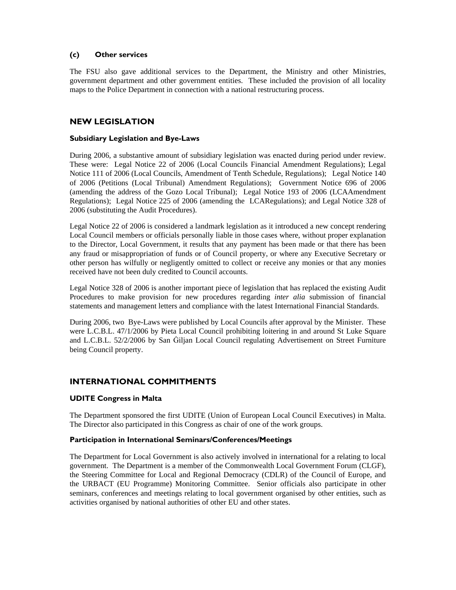## (c) Other services

The FSU also gave additional services to the Department, the Ministry and other Ministries, government department and other government entities. These included the provision of all locality maps to the Police Department in connection with a national restructuring process.

# NEW LEGISLATION

## Subsidiary Legislation and Bye-Laws

During 2006, a substantive amount of subsidiary legislation was enacted during period under review. These were: Legal Notice 22 of 2006 (Local Councils Financial Amendment Regulations); Legal Notice 111 of 2006 (Local Councils, Amendment of Tenth Schedule, Regulations); Legal Notice 140 of 2006 (Petitions (Local Tribunal) Amendment Regulations); Government Notice 696 of 2006 (amending the address of the Gozo Local Tribunal); Legal Notice 193 of 2006 (LCAAmendment Regulations); Legal Notice 225 of 2006 (amending the LCARegulations); and Legal Notice 328 of 2006 (substituting the Audit Procedures).

Legal Notice 22 of 2006 is considered a landmark legislation as it introduced a new concept rendering Local Council members or officials personally liable in those cases where, without proper explanation to the Director, Local Government, it results that any payment has been made or that there has been any fraud or misappropriation of funds or of Council property, or where any Executive Secretary or other person has wilfully or negligently omitted to collect or receive any monies or that any monies received have not been duly credited to Council accounts.

Legal Notice 328 of 2006 is another important piece of legislation that has replaced the existing Audit Procedures to make provision for new procedures regarding *inter alia* submission of financial statements and management letters and compliance with the latest International Financial Standards.

During 2006, two Bye-Laws were published by Local Councils after approval by the Minister. These were L.C.B.L. 47/1/2006 by Pieta Local Council prohibiting loitering in and around St Luke Square and L.C.B.L. 52/2/2006 by San Ġiljan Local Council regulating Advertisement on Street Furniture being Council property.

# INTERNATIONAL COMMITMENTS

#### UDITE Congress in Malta

The Department sponsored the first UDITE (Union of European Local Council Executives) in Malta. The Director also participated in this Congress as chair of one of the work groups.

#### Participation in International Seminars/Conferences/Meetings

The Department for Local Government is also actively involved in international for a relating to local government. The Department is a member of the Commonwealth Local Government Forum (CLGF), the Steering Committee for Local and Regional Democracy (CDLR) of the Council of Europe, and the URBACT (EU Programme) Monitoring Committee. Senior officials also participate in other seminars, conferences and meetings relating to local government organised by other entities, such as activities organised by national authorities of other EU and other states.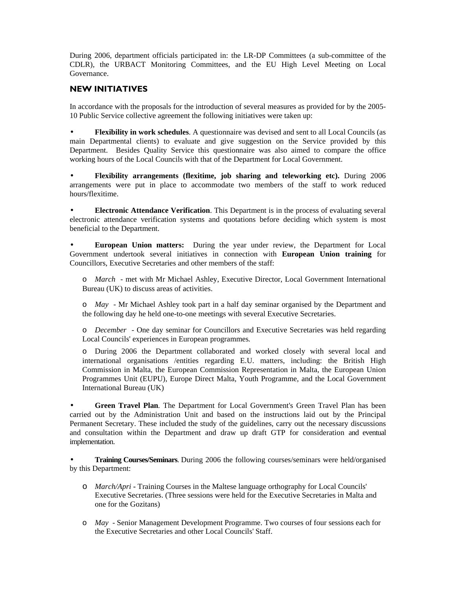During 2006, department officials participated in: the LR-DP Committees (a sub-committee of the CDLR), the URBACT Monitoring Committees, and the EU High Level Meeting on Local Governance.

## NEW INITIATIVES

In accordance with the proposals for the introduction of several measures as provided for by the 2005- 10 Public Service collective agreement the following initiatives were taken up:

• **Flexibility in work schedules**. A questionnaire was devised and sent to all Local Councils (as main Departmental clients) to evaluate and give suggestion on the Service provided by this Department. Besides Quality Service this questionnaire was also aimed to compare the office working hours of the Local Councils with that of the Department for Local Government.

• **Flexibility arrangements (flexitime, job sharing and teleworking etc).** During 2006 arrangements were put in place to accommodate two members of the staff to work reduced hours/flexitime.

• **Electronic Attendance Verification**. This Department is in the process of evaluating several electronic attendance verification systems and quotations before deciding which system is most beneficial to the Department.

• **European Union matters:** During the year under review, the Department for Local Government undertook several initiatives in connection with **European Union training** for Councillors, Executive Secretaries and other members of the staff:

o *March* - met with Mr Michael Ashley, Executive Director, Local Government International Bureau (UK) to discuss areas of activities.

o *May*- Mr Michael Ashley took part in a half day seminar organised by the Department and the following day he held one-to-one meetings with several Executive Secretaries.

o *December* - One day seminar for Councillors and Executive Secretaries was held regarding Local Councils' experiences in European programmes*.* 

o During 2006 the Department collaborated and worked closely with several local and international organisations /entities regarding E.U. matters, including: the British High Commission in Malta, the European Commission Representation in Malta, the European Union Programmes Unit (EUPU), Europe Direct Malta, Youth Programme, and the Local Government International Bureau (UK)

• **Green Travel Plan***.* The Department for Local Government's Green Travel Plan has been carried out by the Administration Unit and based on the instructions laid out by the Principal Permanent Secretary. These included the study of the guidelines, carry out the necessary discussions and consultation within the Department and draw up draft GTP for consideration and eventual implementation.

• **Training Courses/Seminars**. During 2006 the following courses/seminars were held/organised by this Department:

- o *March/Apri* Training Courses in the Maltese language orthography for Local Councils' Executive Secretaries. (Three sessions were held for the Executive Secretaries in Malta and one for the Gozitans)
- o *May*  Senior Management Development Programme. Two courses of four sessions each for the Executive Secretaries and other Local Councils' Staff.